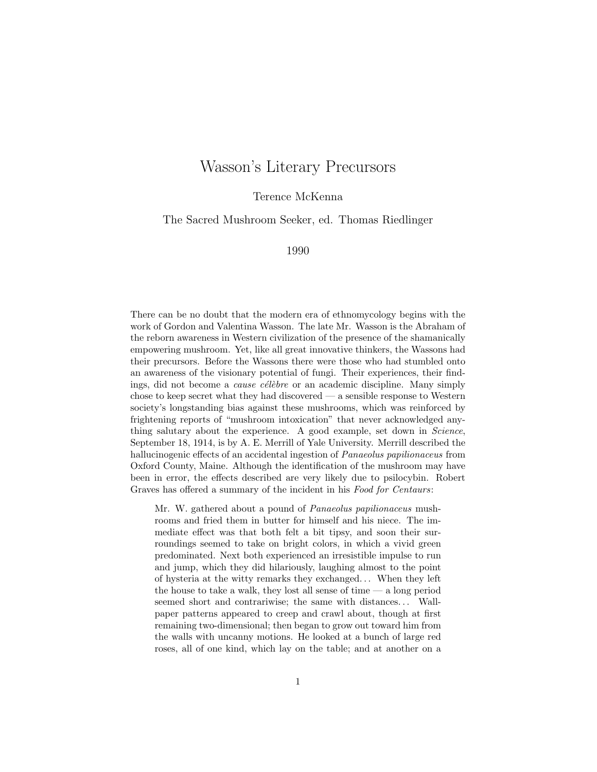## Wasson's Literary Precursors

Terence McKenna

The Sacred Mushroom Seeker, ed. Thomas Riedlinger

1990

There can be no doubt that the modern era of ethnomycology begins with the work of Gordon and Valentina Wasson. The late Mr. Wasson is the Abraham of the reborn awareness in Western civilization of the presence of the shamanically empowering mushroom. Yet, like all great innovative thinkers, the Wassons had their precursors. Before the Wassons there were those who had stumbled onto an awareness of the visionary potential of fungi. Their experiences, their findings, did not become a *cause célèbre* or an academic discipline. Many simply chose to keep secret what they had discovered — a sensible response to Western society's longstanding bias against these mushrooms, which was reinforced by frightening reports of "mushroom intoxication" that never acknowledged anything salutary about the experience. A good example, set down in Science, September 18, 1914, is by A. E. Merrill of Yale University. Merrill described the hallucinogenic effects of an accidental ingestion of Panaeolus papilionaceus from Oxford County, Maine. Although the identification of the mushroom may have been in error, the effects described are very likely due to psilocybin. Robert Graves has offered a summary of the incident in his Food for Centaurs:

Mr. W. gathered about a pound of *Panaeolus papilionaceus* mushrooms and fried them in butter for himself and his niece. The immediate effect was that both felt a bit tipsy, and soon their surroundings seemed to take on bright colors, in which a vivid green predominated. Next both experienced an irresistible impulse to run and jump, which they did hilariously, laughing almost to the point of hysteria at the witty remarks they exchanged. . . When they left the house to take a walk, they lost all sense of time  $-$  a long period seemed short and contrariwise; the same with distances... Wallpaper patterns appeared to creep and crawl about, though at first remaining two-dimensional; then began to grow out toward him from the walls with uncanny motions. He looked at a bunch of large red roses, all of one kind, which lay on the table; and at another on a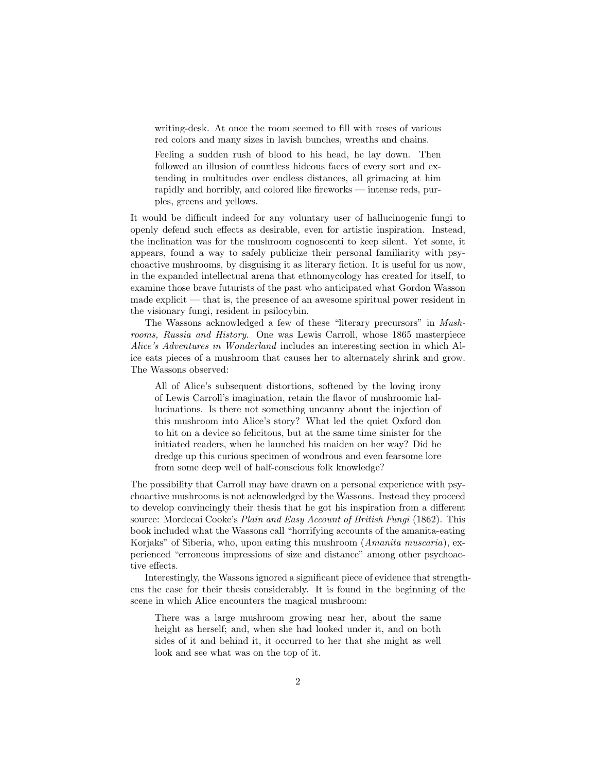writing-desk. At once the room seemed to fill with roses of various red colors and many sizes in lavish bunches, wreaths and chains.

Feeling a sudden rush of blood to his head, he lay down. Then followed an illusion of countless hideous faces of every sort and extending in multitudes over endless distances, all grimacing at him rapidly and horribly, and colored like fireworks — intense reds, purples, greens and yellows.

It would be difficult indeed for any voluntary user of hallucinogenic fungi to openly defend such effects as desirable, even for artistic inspiration. Instead, the inclination was for the mushroom cognoscenti to keep silent. Yet some, it appears, found a way to safely publicize their personal familiarity with psychoactive mushrooms, by disguising it as literary fiction. It is useful for us now, in the expanded intellectual arena that ethnomycology has created for itself, to examine those brave futurists of the past who anticipated what Gordon Wasson made explicit — that is, the presence of an awesome spiritual power resident in the visionary fungi, resident in psilocybin.

The Wassons acknowledged a few of these "literary precursors" in Mushrooms, Russia and History. One was Lewis Carroll, whose 1865 masterpiece Alice's Adventures in Wonderland includes an interesting section in which Alice eats pieces of a mushroom that causes her to alternately shrink and grow. The Wassons observed:

All of Alice's subsequent distortions, softened by the loving irony of Lewis Carroll's imagination, retain the flavor of mushroomic hallucinations. Is there not something uncanny about the injection of this mushroom into Alice's story? What led the quiet Oxford don to hit on a device so felicitous, but at the same time sinister for the initiated readers, when he launched his maiden on her way? Did he dredge up this curious specimen of wondrous and even fearsome lore from some deep well of half-conscious folk knowledge?

The possibility that Carroll may have drawn on a personal experience with psychoactive mushrooms is not acknowledged by the Wassons. Instead they proceed to develop convincingly their thesis that he got his inspiration from a different source: Mordecai Cooke's Plain and Easy Account of British Fungi (1862). This book included what the Wassons call "horrifying accounts of the amanita-eating Korjaks" of Siberia, who, upon eating this mushroom (Amanita muscaria), experienced "erroneous impressions of size and distance" among other psychoactive effects.

Interestingly, the Wassons ignored a significant piece of evidence that strengthens the case for their thesis considerably. It is found in the beginning of the scene in which Alice encounters the magical mushroom:

There was a large mushroom growing near her, about the same height as herself; and, when she had looked under it, and on both sides of it and behind it, it occurred to her that she might as well look and see what was on the top of it.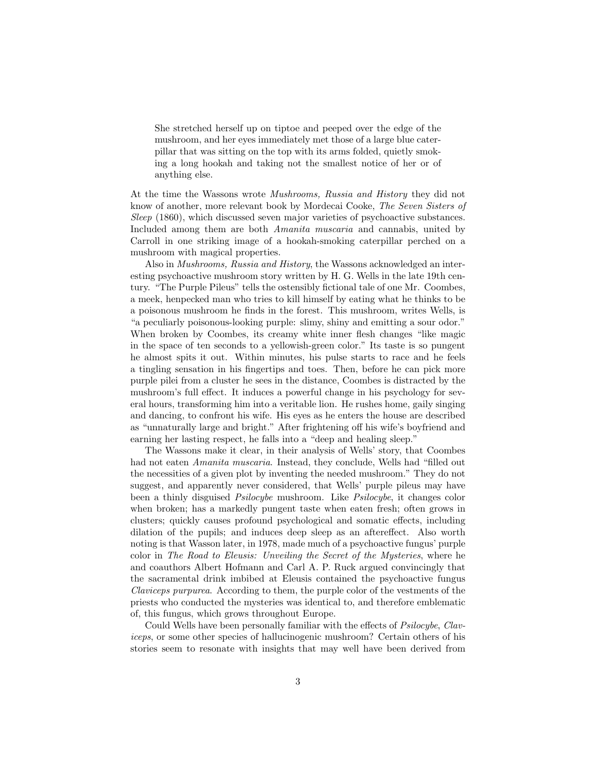She stretched herself up on tiptoe and peeped over the edge of the mushroom, and her eyes immediately met those of a large blue caterpillar that was sitting on the top with its arms folded, quietly smoking a long hookah and taking not the smallest notice of her or of anything else.

At the time the Wassons wrote Mushrooms, Russia and History they did not know of another, more relevant book by Mordecai Cooke, The Seven Sisters of Sleep (1860), which discussed seven major varieties of psychoactive substances. Included among them are both Amanita muscaria and cannabis, united by Carroll in one striking image of a hookah-smoking caterpillar perched on a mushroom with magical properties.

Also in Mushrooms, Russia and History, the Wassons acknowledged an interesting psychoactive mushroom story written by H. G. Wells in the late 19th century. "The Purple Pileus" tells the ostensibly fictional tale of one Mr. Coombes, a meek, henpecked man who tries to kill himself by eating what he thinks to be a poisonous mushroom he finds in the forest. This mushroom, writes Wells, is "a peculiarly poisonous-looking purple: slimy, shiny and emitting a sour odor." When broken by Coombes, its creamy white inner flesh changes "like magic in the space of ten seconds to a yellowish-green color." Its taste is so pungent he almost spits it out. Within minutes, his pulse starts to race and he feels a tingling sensation in his fingertips and toes. Then, before he can pick more purple pilei from a cluster he sees in the distance, Coombes is distracted by the mushroom's full effect. It induces a powerful change in his psychology for several hours, transforming him into a veritable lion. He rushes home, gaily singing and dancing, to confront his wife. His eyes as he enters the house are described as "unnaturally large and bright." After frightening off his wife's boyfriend and earning her lasting respect, he falls into a "deep and healing sleep."

The Wassons make it clear, in their analysis of Wells' story, that Coombes had not eaten Amanita muscaria. Instead, they conclude, Wells had "filled out the necessities of a given plot by inventing the needed mushroom." They do not suggest, and apparently never considered, that Wells' purple pileus may have been a thinly disguised Psilocybe mushroom. Like Psilocybe, it changes color when broken; has a markedly pungent taste when eaten fresh; often grows in clusters; quickly causes profound psychological and somatic effects, including dilation of the pupils; and induces deep sleep as an aftereffect. Also worth noting is that Wasson later, in 1978, made much of a psychoactive fungus' purple color in The Road to Eleusis: Unveiling the Secret of the Mysteries, where he and coauthors Albert Hofmann and Carl A. P. Ruck argued convincingly that the sacramental drink imbibed at Eleusis contained the psychoactive fungus Claviceps purpurea. According to them, the purple color of the vestments of the priests who conducted the mysteries was identical to, and therefore emblematic of, this fungus, which grows throughout Europe.

Could Wells have been personally familiar with the effects of Psilocybe, Claviceps, or some other species of hallucinogenic mushroom? Certain others of his stories seem to resonate with insights that may well have been derived from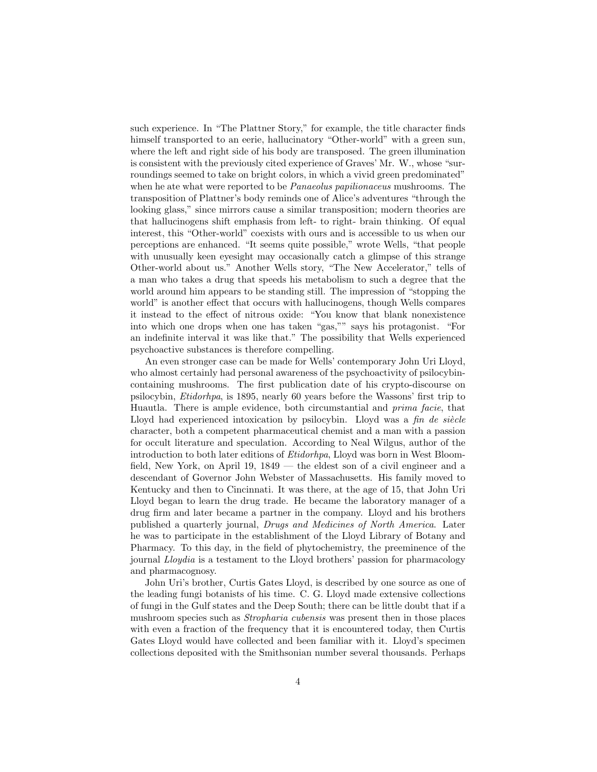such experience. In "The Plattner Story," for example, the title character finds himself transported to an eerie, hallucinatory "Other-world" with a green sun, where the left and right side of his body are transposed. The green illumination is consistent with the previously cited experience of Graves' Mr. W., whose "surroundings seemed to take on bright colors, in which a vivid green predominated" when he ate what were reported to be *Panaeolus papilionaceus* mushrooms. The transposition of Plattner's body reminds one of Alice's adventures "through the looking glass," since mirrors cause a similar transposition; modern theories are that hallucinogens shift emphasis from left- to right- brain thinking. Of equal interest, this "Other-world" coexists with ours and is accessible to us when our perceptions are enhanced. "It seems quite possible," wrote Wells, "that people with unusually keen eyesight may occasionally catch a glimpse of this strange Other-world about us." Another Wells story, "The New Accelerator," tells of a man who takes a drug that speeds his metabolism to such a degree that the world around him appears to be standing still. The impression of "stopping the world" is another effect that occurs with hallucinogens, though Wells compares it instead to the effect of nitrous oxide: "You know that blank nonexistence into which one drops when one has taken "gas,"" says his protagonist. "For an indefinite interval it was like that." The possibility that Wells experienced psychoactive substances is therefore compelling.

An even stronger case can be made for Wells' contemporary John Uri Lloyd, who almost certainly had personal awareness of the psychoactivity of psilocybincontaining mushrooms. The first publication date of his crypto-discourse on psilocybin, Etidorhpa, is 1895, nearly 60 years before the Wassons' first trip to Huautla. There is ample evidence, both circumstantial and prima facie, that Lloyd had experienced intoxication by psilocybin. Lloyd was a  $\hat{f}$  and  $\hat{f}$  are siècle character, both a competent pharmaceutical chemist and a man with a passion for occult literature and speculation. According to Neal Wilgus, author of the introduction to both later editions of Etidorhpa, Lloyd was born in West Bloomfield, New York, on April 19, 1849 — the eldest son of a civil engineer and a descendant of Governor John Webster of Massachusetts. His family moved to Kentucky and then to Cincinnati. It was there, at the age of 15, that John Uri Lloyd began to learn the drug trade. He became the laboratory manager of a drug firm and later became a partner in the company. Lloyd and his brothers published a quarterly journal, Drugs and Medicines of North America. Later he was to participate in the establishment of the Lloyd Library of Botany and Pharmacy. To this day, in the field of phytochemistry, the preeminence of the journal Lloydia is a testament to the Lloyd brothers' passion for pharmacology and pharmacognosy.

John Uri's brother, Curtis Gates Lloyd, is described by one source as one of the leading fungi botanists of his time. C. G. Lloyd made extensive collections of fungi in the Gulf states and the Deep South; there can be little doubt that if a mushroom species such as Stropharia cubensis was present then in those places with even a fraction of the frequency that it is encountered today, then Curtis Gates Lloyd would have collected and been familiar with it. Lloyd's specimen collections deposited with the Smithsonian number several thousands. Perhaps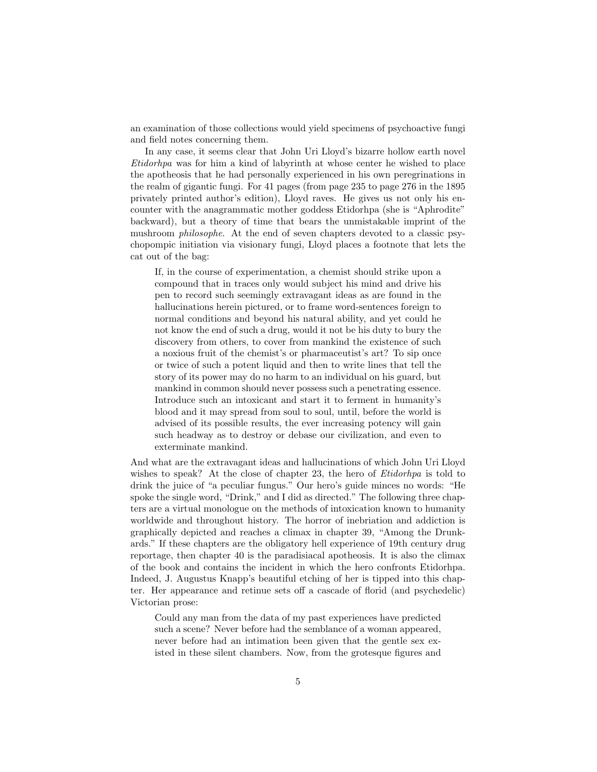an examination of those collections would yield specimens of psychoactive fungi and field notes concerning them.

In any case, it seems clear that John Uri Lloyd's bizarre hollow earth novel Etidorhpa was for him a kind of labyrinth at whose center he wished to place the apotheosis that he had personally experienced in his own peregrinations in the realm of gigantic fungi. For 41 pages (from page 235 to page 276 in the 1895 privately printed author's edition), Lloyd raves. He gives us not only his encounter with the anagrammatic mother goddess Etidorhpa (she is "Aphrodite" backward), but a theory of time that bears the unmistakable imprint of the mushroom philosophe. At the end of seven chapters devoted to a classic psychopompic initiation via visionary fungi, Lloyd places a footnote that lets the cat out of the bag:

If, in the course of experimentation, a chemist should strike upon a compound that in traces only would subject his mind and drive his pen to record such seemingly extravagant ideas as are found in the hallucinations herein pictured, or to frame word-sentences foreign to normal conditions and beyond his natural ability, and yet could he not know the end of such a drug, would it not be his duty to bury the discovery from others, to cover from mankind the existence of such a noxious fruit of the chemist's or pharmaceutist's art? To sip once or twice of such a potent liquid and then to write lines that tell the story of its power may do no harm to an individual on his guard, but mankind in common should never possess such a penetrating essence. Introduce such an intoxicant and start it to ferment in humanity's blood and it may spread from soul to soul, until, before the world is advised of its possible results, the ever increasing potency will gain such headway as to destroy or debase our civilization, and even to exterminate mankind.

And what are the extravagant ideas and hallucinations of which John Uri Lloyd wishes to speak? At the close of chapter 23, the hero of *Etidorhpa* is told to drink the juice of "a peculiar fungus." Our hero's guide minces no words: "He spoke the single word, "Drink," and I did as directed." The following three chapters are a virtual monologue on the methods of intoxication known to humanity worldwide and throughout history. The horror of inebriation and addiction is graphically depicted and reaches a climax in chapter 39, "Among the Drunkards." If these chapters are the obligatory hell experience of 19th century drug reportage, then chapter 40 is the paradisiacal apotheosis. It is also the climax of the book and contains the incident in which the hero confronts Etidorhpa. Indeed, J. Augustus Knapp's beautiful etching of her is tipped into this chapter. Her appearance and retinue sets off a cascade of florid (and psychedelic) Victorian prose:

Could any man from the data of my past experiences have predicted such a scene? Never before had the semblance of a woman appeared, never before had an intimation been given that the gentle sex existed in these silent chambers. Now, from the grotesque figures and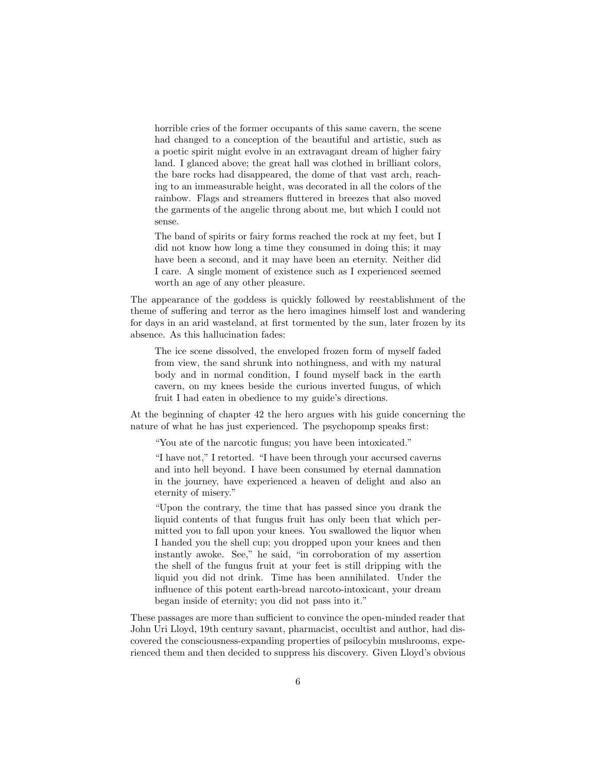horrible cries of the former occupants of this same cavern, the scene had changed to a conception of the beautiful and artistic, such as a poetic spirit might evolve in an extravagant dream of higher fairy land. I glanced above; the great hall was clothed in brilliant colors, the bare rocks had disappeared, the dome of that vast arch, reaching to an immeasurable height, was decorated in all the colors of the rainbow. Flags and streamers fluttered in breezes that also moved the garments of the angelic throng about me, but which I could not sense.

The band of spirits or fairy forms reached the rock at my feet, but I did not know how long a time they consumed in doing this; it may have been a second, and it may have been an eternity. Neither did I care. A single moment of existence such as I experienced seemed worth an age of any other pleasure.

The appearance of the goddess is quickly followed by reestablishment of the theme of suffering and terror as the hero imagines himself lost and wandering for days in an arid wasteland, at first tormented by the sun, later frozen by its absence. As this hallucination fades:

The ice scene dissolved, the enveloped frozen form of myself faded from view, the sand shrunk into nothingness, and with my natural body and in normal condition, I found myself back in the earth cavern, on my knees beside the curious inverted fungus, of which fruit I had eaten in obedience to my guide's directions.

At the beginning of chapter 42 the hero argues with his guide concerning the nature of what he has just experienced. The psychopomp speaks first:

"You ate of the narcotic fungus; you have been intoxicated."

"I have not," I retorted. "I have been through your accursed caverns and into hell beyond. I have been consumed by eternal damnation in the journey, have experienced a heaven of delight and also an eternity of misery."

"Upon the contrary, the time that has passed since you drank the liquid contents of that fungus fruit has only been that which permitted you to fall upon your knees. You swallowed the liquor when I handed you the shell cup; you dropped upon your knees and then instantly awoke. See," he said, "in corroboration of my assertion the shell of the fungus fruit at your feet is still dripping with the liquid you did not drink. Time has been annihilated. Under the influence of this potent earth-bread narcoto-intoxicant, your dream began inside of eternity; you did not pass into it."

These passages are more than sufficient to convince the open-minded reader that John Uri Lloyd, 19th century savant, pharmacist, occultist and author, had discovered the consciousness-expanding properties of psilocybin mushrooms, experienced them and then decided to suppress his discovery. Given Lloyd's obvious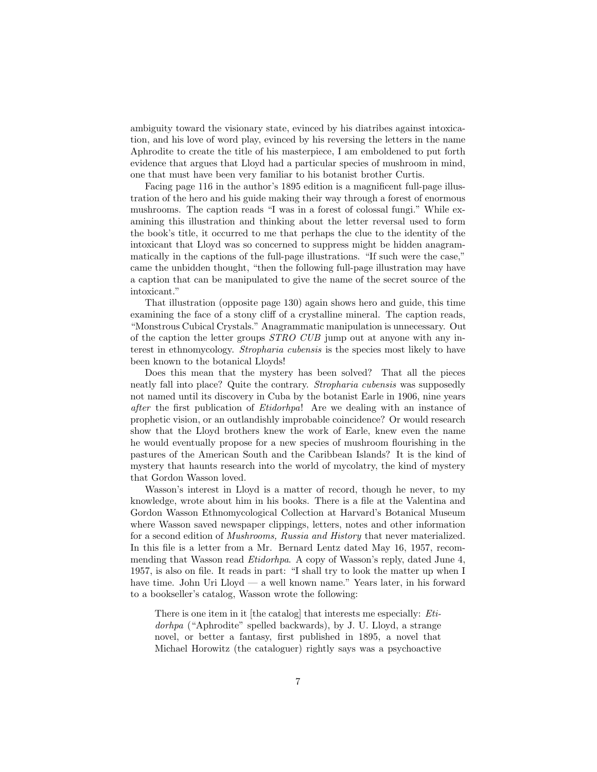ambiguity toward the visionary state, evinced by his diatribes against intoxication, and his love of word play, evinced by his reversing the letters in the name Aphrodite to create the title of his masterpiece, I am emboldened to put forth evidence that argues that Lloyd had a particular species of mushroom in mind, one that must have been very familiar to his botanist brother Curtis.

Facing page 116 in the author's 1895 edition is a magnificent full-page illustration of the hero and his guide making their way through a forest of enormous mushrooms. The caption reads "I was in a forest of colossal fungi." While examining this illustration and thinking about the letter reversal used to form the book's title, it occurred to me that perhaps the clue to the identity of the intoxicant that Lloyd was so concerned to suppress might be hidden anagrammatically in the captions of the full-page illustrations. "If such were the case," came the unbidden thought, "then the following full-page illustration may have a caption that can be manipulated to give the name of the secret source of the intoxicant."

That illustration (opposite page 130) again shows hero and guide, this time examining the face of a stony cliff of a crystalline mineral. The caption reads, "Monstrous Cubical Crystals." Anagrammatic manipulation is unnecessary. Out of the caption the letter groups STRO CUB jump out at anyone with any interest in ethnomycology. Stropharia cubensis is the species most likely to have been known to the botanical Lloyds!

Does this mean that the mystery has been solved? That all the pieces neatly fall into place? Quite the contrary. Stropharia cubensis was supposedly not named until its discovery in Cuba by the botanist Earle in 1906, nine years after the first publication of Etidorhpa! Are we dealing with an instance of prophetic vision, or an outlandishly improbable coincidence? Or would research show that the Lloyd brothers knew the work of Earle, knew even the name he would eventually propose for a new species of mushroom flourishing in the pastures of the American South and the Caribbean Islands? It is the kind of mystery that haunts research into the world of mycolatry, the kind of mystery that Gordon Wasson loved.

Wasson's interest in Lloyd is a matter of record, though he never, to my knowledge, wrote about him in his books. There is a file at the Valentina and Gordon Wasson Ethnomycological Collection at Harvard's Botanical Museum where Wasson saved newspaper clippings, letters, notes and other information for a second edition of Mushrooms, Russia and History that never materialized. In this file is a letter from a Mr. Bernard Lentz dated May 16, 1957, recommending that Wasson read Etidorhpa. A copy of Wasson's reply, dated June 4, 1957, is also on file. It reads in part: "I shall try to look the matter up when I have time. John Uri Lloyd — a well known name." Years later, in his forward to a bookseller's catalog, Wasson wrote the following:

There is one item in it [the catalog] that interests me especially: *Eti*dorhpa ("Aphrodite" spelled backwards), by J. U. Lloyd, a strange novel, or better a fantasy, first published in 1895, a novel that Michael Horowitz (the cataloguer) rightly says was a psychoactive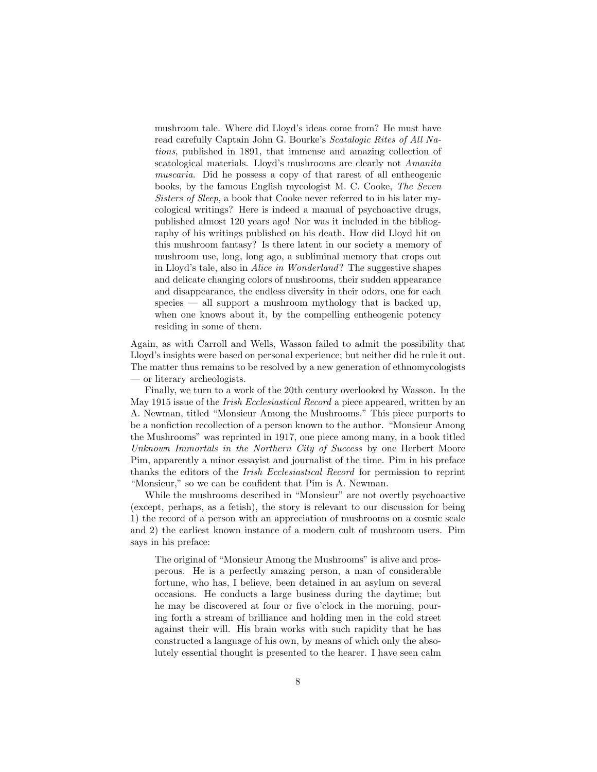mushroom tale. Where did Lloyd's ideas come from? He must have read carefully Captain John G. Bourke's Scatalogic Rites of All Nations, published in 1891, that immense and amazing collection of scatological materials. Lloyd's mushrooms are clearly not Amanita muscaria. Did he possess a copy of that rarest of all entheogenic books, by the famous English mycologist M. C. Cooke, The Seven Sisters of Sleep, a book that Cooke never referred to in his later mycological writings? Here is indeed a manual of psychoactive drugs, published almost 120 years ago! Nor was it included in the bibliography of his writings published on his death. How did Lloyd hit on this mushroom fantasy? Is there latent in our society a memory of mushroom use, long, long ago, a subliminal memory that crops out in Lloyd's tale, also in Alice in Wonderland? The suggestive shapes and delicate changing colors of mushrooms, their sudden appearance and disappearance, the endless diversity in their odors, one for each species — all support a mushroom mythology that is backed up, when one knows about it, by the compelling entheogenic potency residing in some of them.

Again, as with Carroll and Wells, Wasson failed to admit the possibility that Lloyd's insights were based on personal experience; but neither did he rule it out. The matter thus remains to be resolved by a new generation of ethnomycologists — or literary archeologists.

Finally, we turn to a work of the 20th century overlooked by Wasson. In the May 1915 issue of the Irish Ecclesiastical Record a piece appeared, written by an A. Newman, titled "Monsieur Among the Mushrooms." This piece purports to be a nonfiction recollection of a person known to the author. "Monsieur Among the Mushrooms" was reprinted in 1917, one piece among many, in a book titled Unknown Immortals in the Northern City of Success by one Herbert Moore Pim, apparently a minor essayist and journalist of the time. Pim in his preface thanks the editors of the Irish Ecclesiastical Record for permission to reprint "Monsieur," so we can be confident that Pim is A. Newman.

While the mushrooms described in "Monsieur" are not overtly psychoactive (except, perhaps, as a fetish), the story is relevant to our discussion for being 1) the record of a person with an appreciation of mushrooms on a cosmic scale and 2) the earliest known instance of a modern cult of mushroom users. Pim says in his preface:

The original of "Monsieur Among the Mushrooms" is alive and prosperous. He is a perfectly amazing person, a man of considerable fortune, who has, I believe, been detained in an asylum on several occasions. He conducts a large business during the daytime; but he may be discovered at four or five o'clock in the morning, pouring forth a stream of brilliance and holding men in the cold street against their will. His brain works with such rapidity that he has constructed a language of his own, by means of which only the absolutely essential thought is presented to the hearer. I have seen calm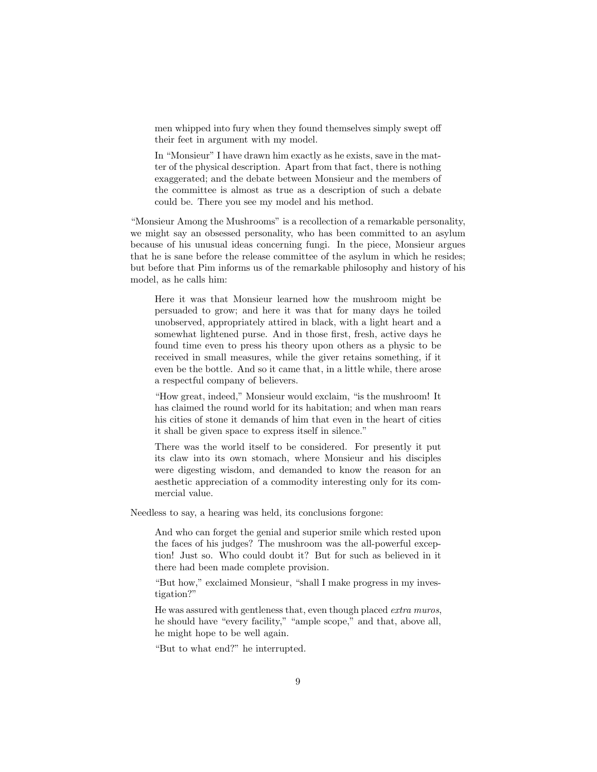men whipped into fury when they found themselves simply swept off their feet in argument with my model.

In "Monsieur" I have drawn him exactly as he exists, save in the matter of the physical description. Apart from that fact, there is nothing exaggerated; and the debate between Monsieur and the members of the committee is almost as true as a description of such a debate could be. There you see my model and his method.

"Monsieur Among the Mushrooms" is a recollection of a remarkable personality, we might say an obsessed personality, who has been committed to an asylum because of his unusual ideas concerning fungi. In the piece, Monsieur argues that he is sane before the release committee of the asylum in which he resides; but before that Pim informs us of the remarkable philosophy and history of his model, as he calls him:

Here it was that Monsieur learned how the mushroom might be persuaded to grow; and here it was that for many days he toiled unobserved, appropriately attired in black, with a light heart and a somewhat lightened purse. And in those first, fresh, active days he found time even to press his theory upon others as a physic to be received in small measures, while the giver retains something, if it even be the bottle. And so it came that, in a little while, there arose a respectful company of believers.

"How great, indeed," Monsieur would exclaim, "is the mushroom! It has claimed the round world for its habitation; and when man rears his cities of stone it demands of him that even in the heart of cities it shall be given space to express itself in silence."

There was the world itself to be considered. For presently it put its claw into its own stomach, where Monsieur and his disciples were digesting wisdom, and demanded to know the reason for an aesthetic appreciation of a commodity interesting only for its commercial value.

Needless to say, a hearing was held, its conclusions forgone:

And who can forget the genial and superior smile which rested upon the faces of his judges? The mushroom was the all-powerful exception! Just so. Who could doubt it? But for such as believed in it there had been made complete provision.

"But how," exclaimed Monsieur, "shall I make progress in my investigation?"

He was assured with gentleness that, even though placed extra muros, he should have "every facility," "ample scope," and that, above all, he might hope to be well again.

"But to what end?" he interrupted.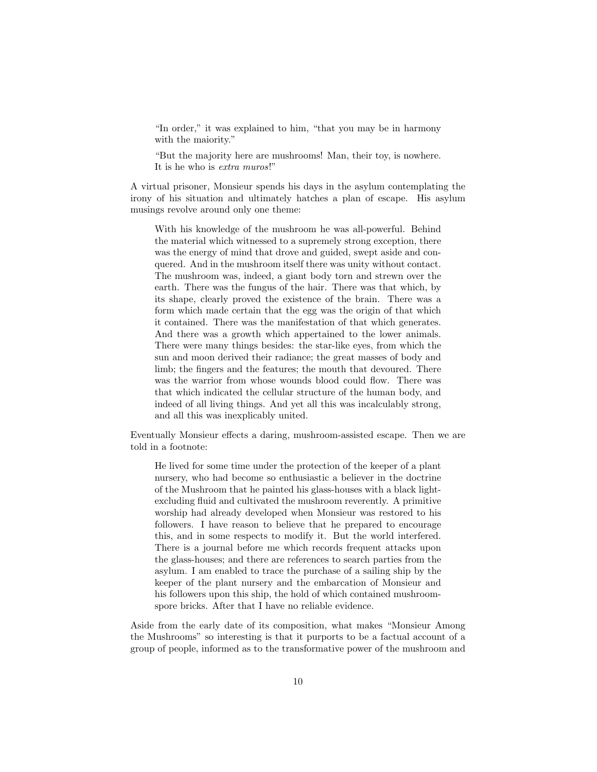"In order," it was explained to him, "that you may be in harmony with the maiority."

"But the majority here are mushrooms! Man, their toy, is nowhere. It is he who is extra muros!"

A virtual prisoner, Monsieur spends his days in the asylum contemplating the irony of his situation and ultimately hatches a plan of escape. His asylum musings revolve around only one theme:

With his knowledge of the mushroom he was all-powerful. Behind the material which witnessed to a supremely strong exception, there was the energy of mind that drove and guided, swept aside and conquered. And in the mushroom itself there was unity without contact. The mushroom was, indeed, a giant body torn and strewn over the earth. There was the fungus of the hair. There was that which, by its shape, clearly proved the existence of the brain. There was a form which made certain that the egg was the origin of that which it contained. There was the manifestation of that which generates. And there was a growth which appertained to the lower animals. There were many things besides: the star-like eyes, from which the sun and moon derived their radiance; the great masses of body and limb; the fingers and the features; the mouth that devoured. There was the warrior from whose wounds blood could flow. There was that which indicated the cellular structure of the human body, and indeed of all living things. And yet all this was incalculably strong, and all this was inexplicably united.

Eventually Monsieur effects a daring, mushroom-assisted escape. Then we are told in a footnote:

He lived for some time under the protection of the keeper of a plant nursery, who had become so enthusiastic a believer in the doctrine of the Mushroom that he painted his glass-houses with a black lightexcluding fluid and cultivated the mushroom reverently. A primitive worship had already developed when Monsieur was restored to his followers. I have reason to believe that he prepared to encourage this, and in some respects to modify it. But the world interfered. There is a journal before me which records frequent attacks upon the glass-houses; and there are references to search parties from the asylum. I am enabled to trace the purchase of a sailing ship by the keeper of the plant nursery and the embarcation of Monsieur and his followers upon this ship, the hold of which contained mushroomspore bricks. After that I have no reliable evidence.

Aside from the early date of its composition, what makes "Monsieur Among the Mushrooms" so interesting is that it purports to be a factual account of a group of people, informed as to the transformative power of the mushroom and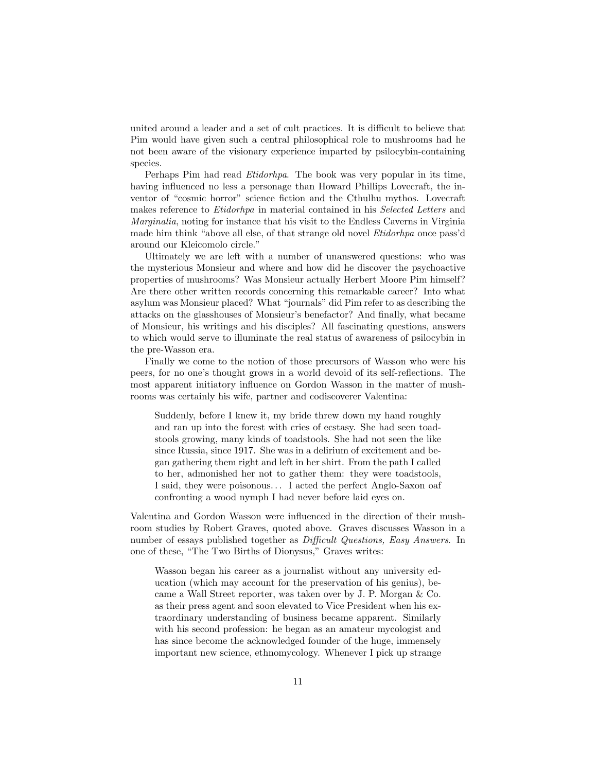united around a leader and a set of cult practices. It is difficult to believe that Pim would have given such a central philosophical role to mushrooms had he not been aware of the visionary experience imparted by psilocybin-containing species.

Perhaps Pim had read Etidorhpa. The book was very popular in its time, having influenced no less a personage than Howard Phillips Lovecraft, the inventor of "cosmic horror" science fiction and the Cthulhu mythos. Lovecraft makes reference to Etidorhpa in material contained in his Selected Letters and Marginalia, noting for instance that his visit to the Endless Caverns in Virginia made him think "above all else, of that strange old novel Etidorhpa once pass'd around our Kleicomolo circle."

Ultimately we are left with a number of unanswered questions: who was the mysterious Monsieur and where and how did he discover the psychoactive properties of mushrooms? Was Monsieur actually Herbert Moore Pim himself? Are there other written records concerning this remarkable career? Into what asylum was Monsieur placed? What "journals" did Pim refer to as describing the attacks on the glasshouses of Monsieur's benefactor? And finally, what became of Monsieur, his writings and his disciples? All fascinating questions, answers to which would serve to illuminate the real status of awareness of psilocybin in the pre-Wasson era.

Finally we come to the notion of those precursors of Wasson who were his peers, for no one's thought grows in a world devoid of its self-reflections. The most apparent initiatory influence on Gordon Wasson in the matter of mushrooms was certainly his wife, partner and codiscoverer Valentina:

Suddenly, before I knew it, my bride threw down my hand roughly and ran up into the forest with cries of ecstasy. She had seen toadstools growing, many kinds of toadstools. She had not seen the like since Russia, since 1917. She was in a delirium of excitement and began gathering them right and left in her shirt. From the path I called to her, admonished her not to gather them: they were toadstools, I said, they were poisonous. . . I acted the perfect Anglo-Saxon oaf confronting a wood nymph I had never before laid eyes on.

Valentina and Gordon Wasson were influenced in the direction of their mushroom studies by Robert Graves, quoted above. Graves discusses Wasson in a number of essays published together as Difficult Questions, Easy Answers. In one of these, "The Two Births of Dionysus," Graves writes:

Wasson began his career as a journalist without any university education (which may account for the preservation of his genius), became a Wall Street reporter, was taken over by J. P. Morgan & Co. as their press agent and soon elevated to Vice President when his extraordinary understanding of business became apparent. Similarly with his second profession: he began as an amateur mycologist and has since become the acknowledged founder of the huge, immensely important new science, ethnomycology. Whenever I pick up strange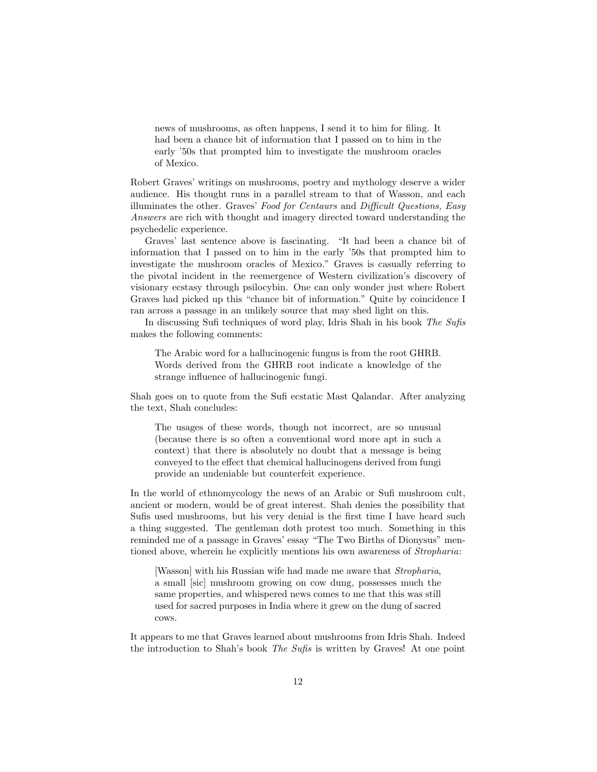news of mushrooms, as often happens, I send it to him for filing. It had been a chance bit of information that I passed on to him in the early '50s that prompted him to investigate the mushroom oracles of Mexico.

Robert Graves' writings on mushrooms, poetry and mythology deserve a wider audience. His thought runs in a parallel stream to that of Wasson, and each illuminates the other. Graves' Food for Centaurs and Difficult Questions, Easy Answers are rich with thought and imagery directed toward understanding the psychedelic experience.

Graves' last sentence above is fascinating. "It had been a chance bit of information that I passed on to him in the early '50s that prompted him to investigate the mushroom oracles of Mexico." Graves is casually referring to the pivotal incident in the reemergence of Western civilization's discovery of visionary ecstasy through psilocybin. One can only wonder just where Robert Graves had picked up this "chance bit of information." Quite by coincidence I ran across a passage in an unlikely source that may shed light on this.

In discussing Sufi techniques of word play, Idris Shah in his book The Sufis makes the following comments:

The Arabic word for a hallucinogenic fungus is from the root GHRB. Words derived from the GHRB root indicate a knowledge of the strange influence of hallucinogenic fungi.

Shah goes on to quote from the Sufi ecstatic Mast Qalandar. After analyzing the text, Shah concludes:

The usages of these words, though not incorrect, are so unusual (because there is so often a conventional word more apt in such a context) that there is absolutely no doubt that a message is being conveyed to the effect that chemical hallucinogens derived from fungi provide an undeniable but counterfeit experience.

In the world of ethnomycology the news of an Arabic or Sufi mushroom cult, ancient or modern, would be of great interest. Shah denies the possibility that Sufis used mushrooms, but his very denial is the first time I have heard such a thing suggested. The gentleman doth protest too much. Something in this reminded me of a passage in Graves' essay "The Two Births of Dionysus" mentioned above, wherein he explicitly mentions his own awareness of Stropharia:

[Wasson] with his Russian wife had made me aware that Stropharia, a small [sic] mushroom growing on cow dung, possesses much the same properties, and whispered news comes to me that this was still used for sacred purposes in India where it grew on the dung of sacred cows.

It appears to me that Graves learned about mushrooms from Idris Shah. Indeed the introduction to Shah's book The Sufis is written by Graves! At one point